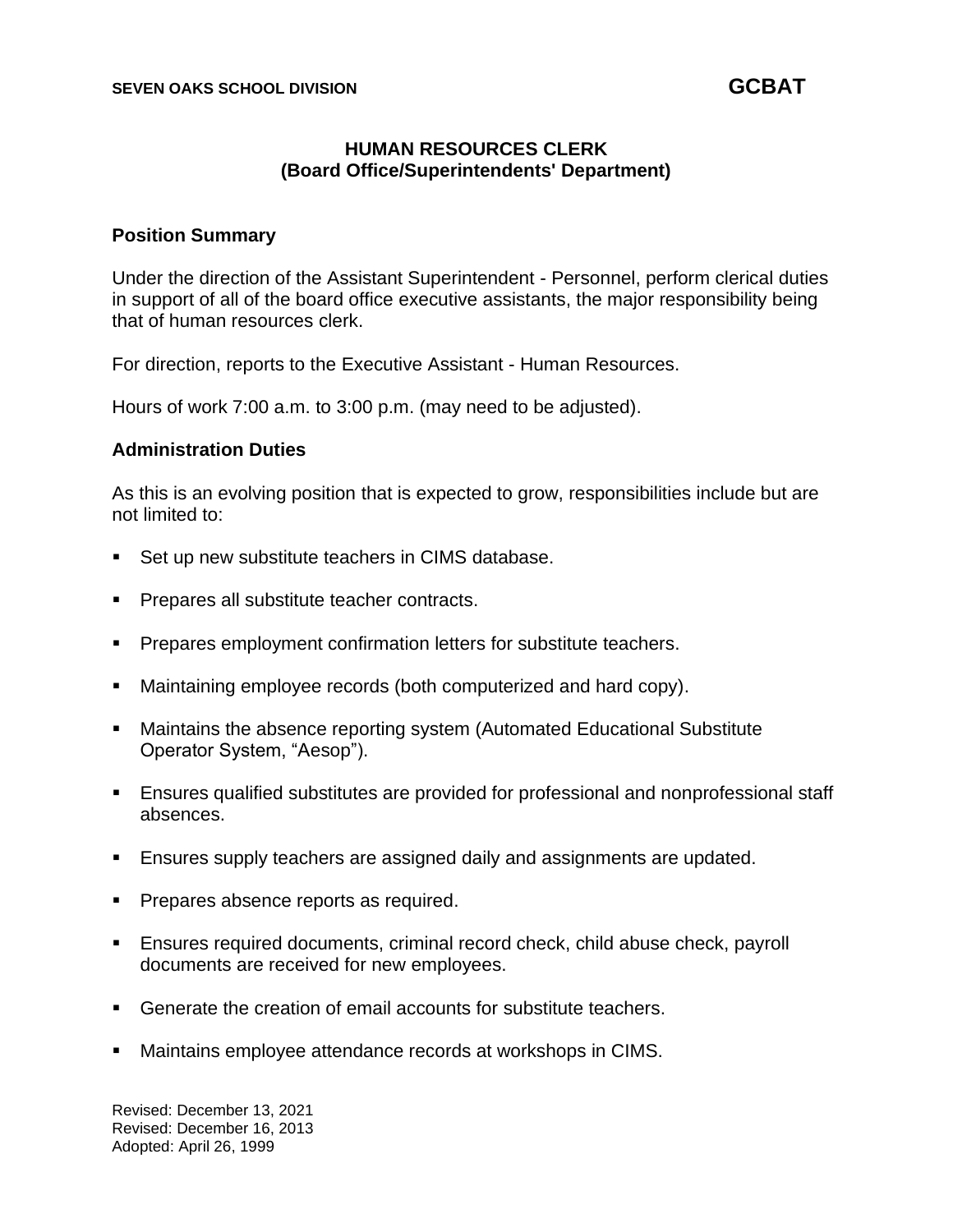# **HUMAN RESOURCES CLERK (Board Office/Superintendents' Department)**

### **Position Summary**

Under the direction of the Assistant Superintendent - Personnel, perform clerical duties in support of all of the board office executive assistants, the major responsibility being that of human resources clerk.

For direction, reports to the Executive Assistant - Human Resources.

Hours of work 7:00 a.m. to 3:00 p.m. (may need to be adjusted).

### **Administration Duties**

As this is an evolving position that is expected to grow, responsibilities include but are not limited to:

- Set up new substitute teachers in CIMS database.
- Prepares all substitute teacher contracts.
- Prepares employment confirmation letters for substitute teachers.
- Maintaining employee records (both computerized and hard copy).
- Maintains the absence reporting system (Automated Educational Substitute Operator System, "Aesop").
- Ensures qualified substitutes are provided for professional and nonprofessional staff absences.
- Ensures supply teachers are assigned daily and assignments are updated.
- **•** Prepares absence reports as required.
- Ensures required documents, criminal record check, child abuse check, payroll documents are received for new employees.
- Generate the creation of email accounts for substitute teachers.
- Maintains employee attendance records at workshops in CIMS.

Revised: December 13, 2021 Revised: December 16, 2013 Adopted: April 26, 1999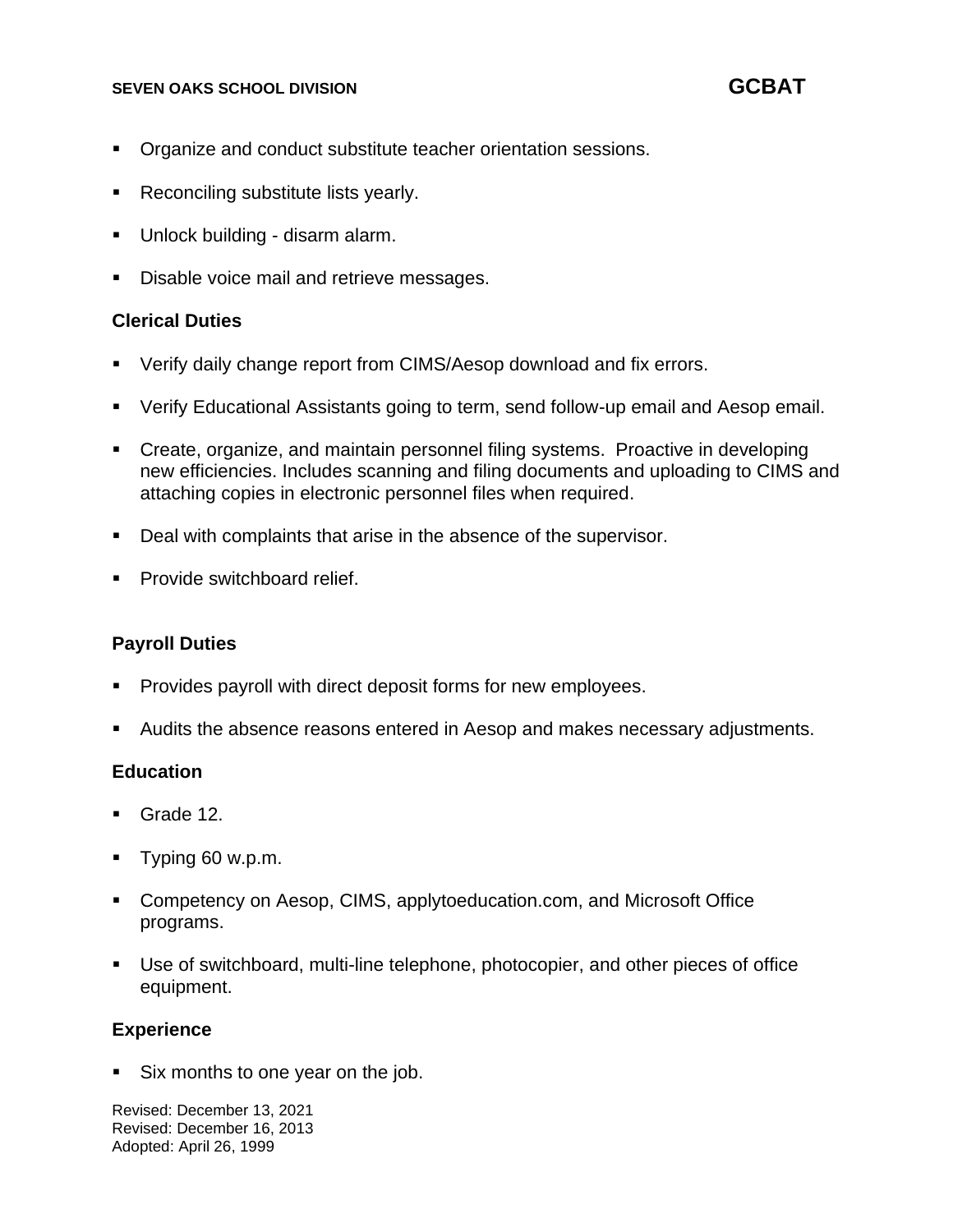### **SEVEN OAKS SCHOOL DIVISION GCBAT**

- Organize and conduct substitute teacher orientation sessions.
- Reconciling substitute lists yearly.
- Unlock building disarm alarm.
- Disable voice mail and retrieve messages.

# **Clerical Duties**

- Verify daily change report from CIMS/Aesop download and fix errors.
- Verify Educational Assistants going to term, send follow-up email and Aesop email.
- Create, organize, and maintain personnel filing systems. Proactive in developing new efficiencies. Includes scanning and filing documents and uploading to CIMS and attaching copies in electronic personnel files when required.
- Deal with complaints that arise in the absence of the supervisor.
- Provide switchboard relief.

## **Payroll Duties**

- Provides payroll with direct deposit forms for new employees.
- Audits the absence reasons entered in Aesop and makes necessary adjustments.

# **Education**

- Grade 12.
- Typing 60 w.p.m.
- Competency on Aesop, CIMS, applytoeducation.com, and Microsoft Office programs.
- Use of switchboard, multi-line telephone, photocopier, and other pieces of office equipment.

## **Experience**

Six months to one year on the job.

Revised: December 13, 2021 Revised: December 16, 2013 Adopted: April 26, 1999